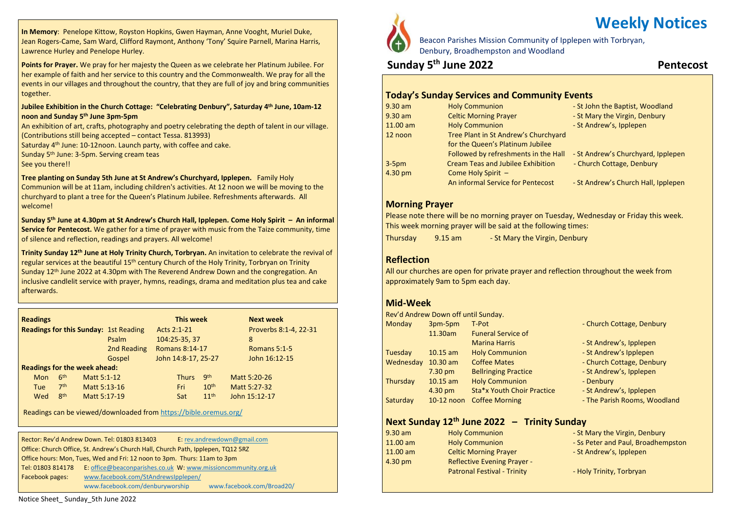**In Memory**: Penelope Kittow, Royston Hopkins, Gwen Hayman, Anne Vooght, Muriel Duke, Jean Rogers-Came, Sam Ward, Clifford Raymont, Anthony 'Tony' Squire Parnell, Marina Harris, Lawrence Hurley and Penelope Hurley.

**Points for Prayer.** We pray for her majesty the Queen as we celebrate her Platinum Jubilee. For her example of faith and her service to this country and the Commonwealth. We pray for all the events in our villages and throughout the country, that they are full of joy and bring communities together.

#### **Jubilee Exhibition in the Church Cottage: "Celebrating Denbury", Saturday 4 th June, 10am-12 noon and Sunday 5 th June 3pm-5pm**

An exhibition of art, crafts, photography and poetry celebrating the depth of talent in our village. (Contributions still being accepted – contact Tessa. 813993)

Saturday 4<sup>th</sup> June: 10-12noon. Launch party, with coffee and cake.

Sunday 5<sup>th</sup> June: 3-5pm. Serving cream teas

See you there!!

**Tree planting on Sunday 5th June at St Andrew's Churchyard, Ipplepen.** Family Holy Communion will be at 11am, including children's activities. At 12 noon we will be moving to the churchyard to plant a tree for the Queen's Platinum Jubilee. Refreshments afterwards. All welcome!

**Sunday 5 th June at 4.30pm at St Andrew's Church Hall, Ipplepen. Come Holy Spirit – An informal Service for Pentecost.** We gather for a time of prayer with music from the Taize community, time of silence and reflection, readings and prayers. All welcome!

**Trinity Sunday 12th June at Holy Trinity Church, Torbryan.** An invitation to celebrate the revival of regular services at the beautiful 15<sup>th</sup> century Church of the Holy Trinity, Torbryan on Trinity Sunday  $12<sup>th</sup>$  June 2022 at 4.30pm with The Reverend Andrew Down and the congregation. An inclusive candlelit service with prayer, hymns, readings, drama and meditation plus tea and cake afterwards.

| <b>Readings</b>                              |                 |              | This week   |             |                       | <b>Next week</b>      |               |  |
|----------------------------------------------|-----------------|--------------|-------------|-------------|-----------------------|-----------------------|---------------|--|
| <b>Readings for this Sunday: 1st Reading</b> |                 |              |             | Acts 2:1-21 |                       | Proverbs 8:1-4, 22-31 |               |  |
|                                              |                 |              | Psalm       |             | 104:25-35, 37         |                       | 8             |  |
|                                              |                 |              | 2nd Reading |             | <b>Romans 8:14-17</b> |                       | Romans 5:1-5  |  |
|                                              |                 |              | Gospel      |             | John 14:8-17, 25-27   |                       | John 16:12-15 |  |
| <b>Readings for the week ahead:</b>          |                 |              |             |             |                       |                       |               |  |
| <b>Mon</b>                                   | 6 <sup>th</sup> | Matt 5:1-12  |             |             | <b>Thurs</b>          | gth                   | Matt 5:20-26  |  |
| Tue                                          | 7 <sup>th</sup> | Matt 5:13-16 |             |             | Fri                   | 10 <sup>th</sup>      | Matt 5:27-32  |  |
| Wed                                          | 8 <sup>th</sup> | Matt 5:17-19 |             |             | Sat                   | 11 <sup>th</sup>      | John 15:12-17 |  |

Readings can be viewed/downloaded from <https://bible.oremus.org/>

 Tel: 01803 814178 E: [office@beaconparishes.co.uk](mailto:office@beaconparishes.co.uk) W: [www.missioncommunity.org.uk](http://www.missioncommunity.org.uk/) Rector: Rev'd Andrew Down. Tel: 01803 813403 E: [rev.andrewdown@gmail.com](mailto:rev.andrewdown@gmail.com) Office: Church Office, St. Andrew's Church Hall, Church Path, Ipplepen, TQ12 5RZ Office hours: Mon, Tues, Wed and Fri: 12 noon to 3pm. Thurs: 11am to 3pm Facebook pages: [www.facebook.com/StAndrewsIpplepen/](http://www.facebook.com/StAndrewsIpplepen/) [www.facebook.com/denburyworship](http://www.facebook.com/denburyworship) [www.facebook.com/Broad20/](http://www.facebook.com/Broad20/)



Beacon Parishes Mission Community of Ipplepen with Torbryan, Denbury, Broadhempston and Woodland

## **Sunday 5 th June 2022 Pentecost**

**Weekly Notices**

#### **Today's Sunday Services and Community Events**

| 9.30 am  | <b>Holy Communion</b>                    | - St John the Baptist, Woodland     |
|----------|------------------------------------------|-------------------------------------|
| 9.30 am  | <b>Celtic Morning Prayer</b>             | - St Mary the Virgin, Denbury       |
| 11.00 am | <b>Holy Communion</b>                    | - St Andrew's, Ipplepen             |
| 12 noon  | Tree Plant in St Andrew's Churchyard     |                                     |
|          | for the Queen's Platinum Jubilee         |                                     |
|          | Followed by refreshments in the Hall     | - St Andrew's Churchyard, Ipplepen  |
| $3-5pm$  | <b>Cream Teas and Jubilee Exhibition</b> | - Church Cottage, Denbury           |
| 4.30 pm  | Come Holy Spirit -                       |                                     |
|          | An informal Service for Pentecost        | - St Andrew's Church Hall, Ipplepen |

#### **Morning Prayer**

Please note there will be no morning prayer on Tuesday, Wednesday or Friday this week. This week morning prayer will be said at the following times:

Thursday 9.15 am - St Mary the Virgin, Denbury

#### **Reflection**

All our churches are open for private prayer and reflection throughout the week from approximately 9am to 5pm each day.

## **Mid-Week**

|                   |           | Rev'd Andrew Down off until Sunday. |                             |                              |
|-------------------|-----------|-------------------------------------|-----------------------------|------------------------------|
| Monday<br>3pm-5pm |           |                                     | T-Pot                       | - Church Cottage, Denbury    |
|                   |           | 11.30am                             | <b>Funeral Service of</b>   |                              |
|                   |           |                                     | <b>Marina Harris</b>        | - St Andrew's, Ipplepen      |
|                   | Tuesday   | $10.15$ am                          | <b>Holy Communion</b>       | - St Andrew's Ipplepen       |
|                   | Wednesday | $10.30$ am                          | <b>Coffee Mates</b>         | - Church Cottage, Denbury    |
|                   |           | $7.30 \text{ pm}$                   | <b>Bellringing Practice</b> | - St Andrew's, Ipplepen      |
|                   | Thursday  | $10.15$ am                          | <b>Holy Communion</b>       | - Denbury                    |
|                   |           | 4.30 pm                             | Sta*x Youth Choir Practice  | - St Andrew's, Ipplepen      |
|                   | Saturday  | 10-12 noon                          | <b>Coffee Morning</b>       | - The Parish Rooms, Woodland |
|                   |           |                                     |                             |                              |

## **Next Sunday 12th June 2022 – Trinity Sunday**

| $9.30$ am         | <b>Holy Communion</b>              | - St Mary the Virgin, Denbury      |
|-------------------|------------------------------------|------------------------------------|
| $11.00$ am        | <b>Holy Communion</b>              | - Ss Peter and Paul, Broadhempston |
| $11.00$ am        | <b>Celtic Morning Prayer</b>       | - St Andrew's, Ipplepen            |
| $4.30 \text{ pm}$ | <b>Reflective Evening Prayer -</b> |                                    |
|                   | <b>Patronal Festival - Trinity</b> | - Holy Trinity, Torbryan           |

Notice Sheet\_ Sunday\_5th June 2022